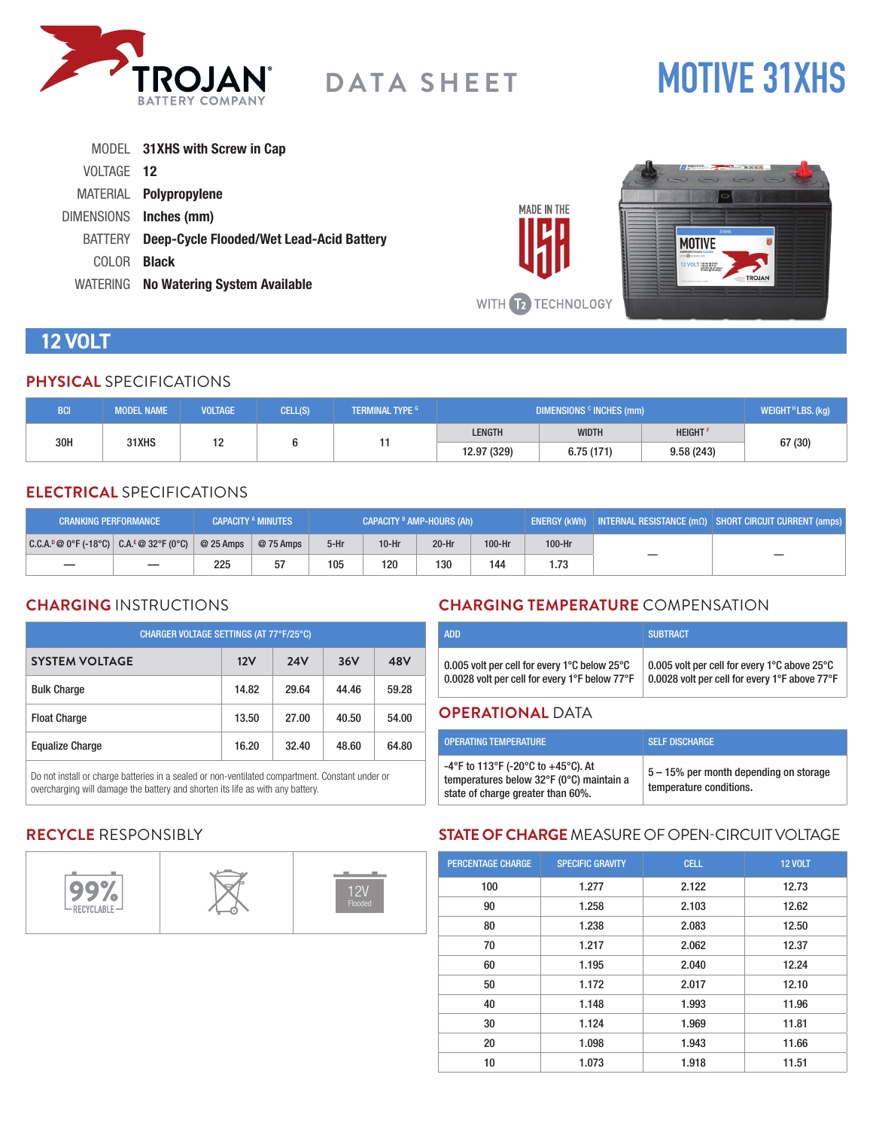

# **MOTIVE 31XHS**

|                    | MODEL 31XHS with Screw in Cap                   |             |                                               |
|--------------------|-------------------------------------------------|-------------|-----------------------------------------------|
| VOLTAGE 12         |                                                 |             | $\sqrt{\frac{\text{source}}{\text{source}}}}$ |
| MATERIAL           | Polypropylene                                   |             |                                               |
| <b>DIMENSIONS</b>  | Inches (mm)                                     | MADE IN THE |                                               |
| <b>BATTERY</b>     | <b>Deep-Cycle Flooded/Wet Lead-Acid Battery</b> |             | MOTIVF                                        |
| COLOR <sub>.</sub> | <b>Black</b>                                    |             | 12 VOLT WARREN                                |
|                    | WATERING No Watering System Available           |             | <b><i>SOJANDATTERS.COM</i></b>                |

# **12 VOLT**

#### **PHYSICAL** SPECIFICATIONS

| <b>BCI</b> | <b>MODEL NAME</b> | <b>VOLTAGE</b> | CELL(S) | <b>TERMINAL TYPE G</b> | DIMENSIONS <sup>c</sup> INCHES (mm) |                            |           | WEIGHT <sup>H</sup> LBS. (kg) |
|------------|-------------------|----------------|---------|------------------------|-------------------------------------|----------------------------|-----------|-------------------------------|
| 30H        |                   |                |         | <b>LENGTH</b>          | <b>WIDTH</b>                        | <b>HEIGHT</b> <sup>P</sup> |           |                               |
|            | 31XHS             | . .            |         |                        | 12.97 (329)                         | 6.75(171)                  | 9.58(243) | 67 (30)                       |

#### **ELECTRICAL** SPECIFICATIONS

| <b>CRANKING PERFORMANCE</b>                  |                          |            | <b>CAPACITY A MINUTES</b> | <b>CAPACITY <sup>B</sup> AMP-HOURS (Ah)</b> |         |         |        | $\mid$ ENERGY (kWh) $\mid$ INTERNAL RESISTANCE (m $\Omega$ ) $\mid$ SHORT CIRCUIT CURRENT (amps) $\mid$ |    |  |
|----------------------------------------------|--------------------------|------------|---------------------------|---------------------------------------------|---------|---------|--------|---------------------------------------------------------------------------------------------------------|----|--|
| $ C.C.A.^p@0^cF(-18^cC) C.A.^E@32^cF(0^cC) $ |                          | $@25$ Amps | @ 75 Amps                 | $5-Hr$                                      | $10-Hr$ | $20-Hr$ | 100-Hr | 100-Hr                                                                                                  |    |  |
|                                              | $\overline{\phantom{0}}$ | 225        | 57                        | 105                                         | 120     | 130     | 144    |                                                                                                         | __ |  |

#### **CHARGING** INSTRUCTIONS

| CHARGER VOLTAGE SETTINGS (AT 77°F/25°C) |       |            |       |       |  |  |
|-----------------------------------------|-------|------------|-------|-------|--|--|
| <b>SYSTEM VOLTAGE</b>                   | 12V   | <b>24V</b> | 36V   | 48V   |  |  |
| <b>Bulk Charge</b>                      | 14.82 | 29.64      | 44.46 | 59.28 |  |  |
| <b>Float Charge</b>                     | 13.50 | 27.00      | 40.50 | 54.00 |  |  |
| <b>Equalize Charge</b>                  | 16.20 | 32.40      | 48.60 | 64.80 |  |  |

Do not install or charge batteries in a sealed or non-ventilated compartment. Constant under or overcharging will damage the battery and shorten its life as with any battery.

# **CHARGING TEMPERATURE** COMPENSATION

| 0.005 volt per cell for every 1°C below 25°C  | 0.005 volt per cell for every 1°C above 25°C  |
|-----------------------------------------------|-----------------------------------------------|
| 0.0028 volt per cell for every 1°F below 77°F | 0.0028 volt per cell for every 1°F above 77°F |

#### **OPERATIONAL** DATA

WITH **TE TECHNOLOGY** 

| <b>OPERATING TEMPERATURE</b>                                                                                        | <b>SELF DISCHARGE</b>                                             |
|---------------------------------------------------------------------------------------------------------------------|-------------------------------------------------------------------|
| -4°F to 113°F (-20°C to +45°C). At<br>temperatures below 32°F (0°C) maintain a<br>state of charge greater than 60%. | 5 – 15% per month depending on storage<br>temperature conditions. |

# **RECYCLE** RESPONSIBLY



# **STATE OF CHARGE** MEASURE OF OPEN-CIRCUIT VOLTAGE

| <b>PERCENTAGE CHARGE</b> | <b>SPECIFIC GRAVITY</b> | <b>CELL</b> | <b>12 VOLT</b> |
|--------------------------|-------------------------|-------------|----------------|
| 100                      | 1.277                   | 2.122       | 12.73          |
| 90                       | 1.258                   | 2.103       | 12.62          |
| 80                       | 1.238                   | 2.083       | 12.50          |
| 70                       | 1.217                   | 2.062       | 12.37          |
| 60                       | 1.195                   | 2.040       | 12.24          |
| 50                       | 1.172                   | 2.017       | 12.10          |
| 40                       | 1.148                   | 1.993       | 11.96          |
| 30                       | 1.124                   | 1.969       | 11.81          |
| 20                       | 1.098                   | 1.943       | 11.66          |
| 10                       | 1.073                   | 1.918       | 11.51          |